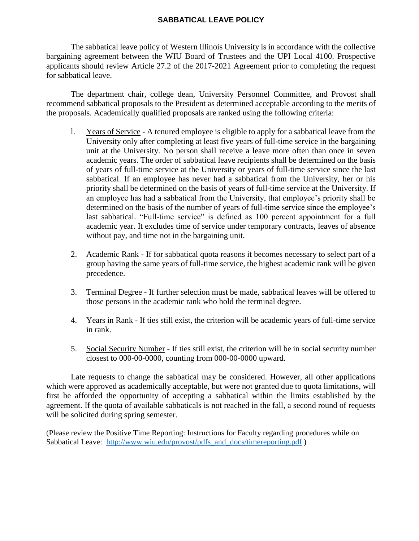## **SABBATICAL LEAVE POLICY**

The sabbatical leave policy of Western Illinois University is in accordance with the collective bargaining agreement between the WIU Board of Trustees and the UPI Local 4100. Prospective applicants should review Article 27.2 of the 2017-2021 Agreement prior to completing the request for sabbatical leave.

The department chair, college dean, University Personnel Committee, and Provost shall recommend sabbatical proposals to the President as determined acceptable according to the merits of the proposals. Academically qualified proposals are ranked using the following criteria:

- l. Years of Service A tenured employee is eligible to apply for a sabbatical leave from the University only after completing at least five years of full-time service in the bargaining unit at the University. No person shall receive a leave more often than once in seven academic years. The order of sabbatical leave recipients shall be determined on the basis of years of full-time service at the University or years of full-time service since the last sabbatical. If an employee has never had a sabbatical from the University, her or his priority shall be determined on the basis of years of full-time service at the University. If an employee has had a sabbatical from the University, that employee's priority shall be determined on the basis of the number of years of full-time service since the employee's last sabbatical. "Full-time service" is defined as 100 percent appointment for a full academic year. It excludes time of service under temporary contracts, leaves of absence without pay, and time not in the bargaining unit.
- 2. Academic Rank If for sabbatical quota reasons it becomes necessary to select part of a group having the same years of full-time service, the highest academic rank will be given precedence.
- 3. Terminal Degree If further selection must be made, sabbatical leaves will be offered to those persons in the academic rank who hold the terminal degree.
- 4. Years in Rank If ties still exist, the criterion will be academic years of full-time service in rank.
- 5. Social Security Number If ties still exist, the criterion will be in social security number closest to 000-00-0000, counting from 000-00-0000 upward.

Late requests to change the sabbatical may be considered. However, all other applications which were approved as academically acceptable, but were not granted due to quota limitations, will first be afforded the opportunity of accepting a sabbatical within the limits established by the agreement. If the quota of available sabbaticals is not reached in the fall, a second round of requests will be solicited during spring semester.

(Please review the Positive Time Reporting: Instructions for Faculty regarding procedures while on Sabbatical Leave: [http://www.wiu.edu/provost/pdfs\\_and\\_docs/timereporting.pdf](http://www.wiu.edu/provost/pdfs_and_docs/timereporting.pdf))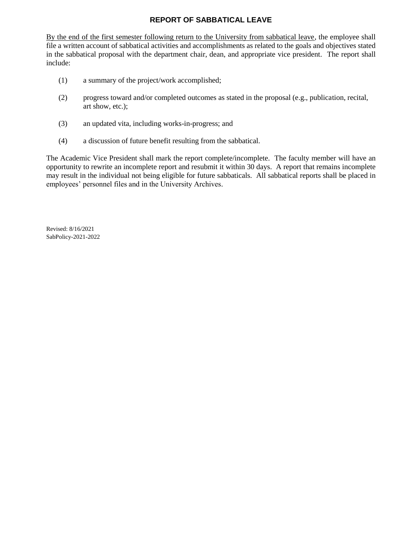## **REPORT OF SABBATICAL LEAVE**

By the end of the first semester following return to the University from sabbatical leave, the employee shall file a written account of sabbatical activities and accomplishments as related to the goals and objectives stated in the sabbatical proposal with the department chair, dean, and appropriate vice president. The report shall include:

- (1) a summary of the project/work accomplished;
- (2) progress toward and/or completed outcomes as stated in the proposal (e.g., publication, recital, art show, etc.);
- (3) an updated vita, including works-in-progress; and
- (4) a discussion of future benefit resulting from the sabbatical.

The Academic Vice President shall mark the report complete/incomplete. The faculty member will have an opportunity to rewrite an incomplete report and resubmit it within 30 days. A report that remains incomplete may result in the individual not being eligible for future sabbaticals. All sabbatical reports shall be placed in employees' personnel files and in the University Archives.

Revised: 8/16/2021 SabPolicy-2021-2022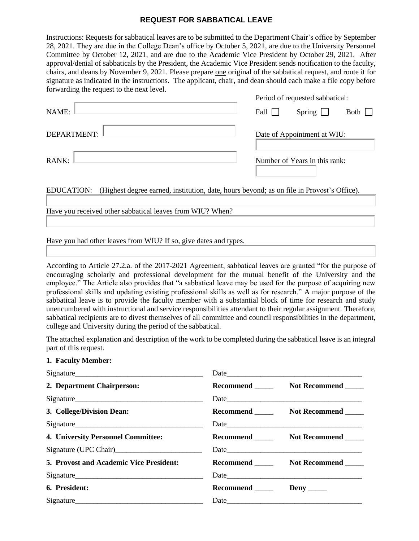## **REQUEST FOR SABBATICAL LEAVE**

Instructions: Requests for sabbatical leaves are to be submitted to the Department Chair's office by September 28, 2021. They are due in the College Dean's office by October 5, 2021, are due to the University Personnel Committee by October 12, 2021, and are due to the Academic Vice President by October 29, 2021. After approval/denial of sabbaticals by the President, the Academic Vice President sends notification to the faculty, chairs, and deans by November 9, 2021. Please prepare one original of the sabbatical request, and route it for signature as indicated in the instructions. The applicant, chair, and dean should each make a file copy before forwarding the request to the next level.

|             | Period of requested sabbatical: |               |      |
|-------------|---------------------------------|---------------|------|
| NAME:       | Fall $\Box$                     | Spring $\Box$ | Both |
| DEPARTMENT: | Date of Appointment at WIU:     |               |      |
| RANK:       | Number of Years in this rank:   |               |      |

EDUCATION: (Highest degree earned, institution, date, hours beyond; as on file in Provost's Office).

Have you received other sabbatical leaves from WIU? When?

Have you had other leaves from WIU? If so, give dates and types.

According to Article 27.2.a. of the 2017-2021 Agreement, sabbatical leaves are granted "for the purpose of encouraging scholarly and professional development for the mutual benefit of the University and the employee." The Article also provides that "a sabbatical leave may be used for the purpose of acquiring new professional skills and updating existing professional skills as well as for research." A major purpose of the sabbatical leave is to provide the faculty member with a substantial block of time for research and study unencumbered with instructional and service responsibilities attendant to their regular assignment. Therefore, sabbatical recipients are to divest themselves of all committee and council responsibilities in the department, college and University during the period of the sabbatical.

The attached explanation and description of the work to be completed during the sabbatical leave is an integral part of this request.

## **1. Faculty Member:**

| Signature                                 |                               |                                         |
|-------------------------------------------|-------------------------------|-----------------------------------------|
| 2. Department Chairperson:                |                               | Recommend Not Recommend                 |
|                                           |                               |                                         |
| 3. College/Division Dean:                 |                               | Recommend ________ Not Recommend _____  |
| Signature                                 |                               | Date                                    |
| 4. University Personnel Committee:        |                               | Recommend ________ Not Recommend _____  |
| Signature (UPC Chair)<br><u>Signature</u> |                               |                                         |
| 5. Provost and Academic Vice President:   |                               | Recommend ________ Not Recommend ______ |
|                                           |                               |                                         |
| 6. President:                             | Recommend ________ Deny _____ |                                         |
| Signature                                 |                               |                                         |